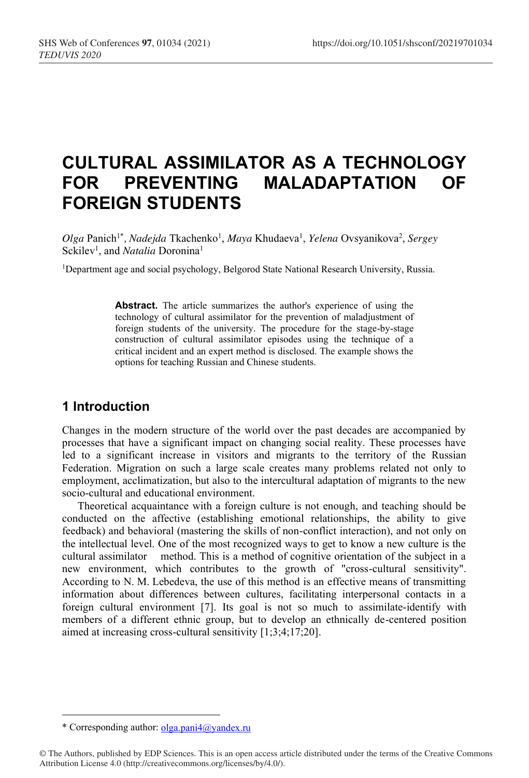# **CULTURAL ASSIMILATOR AS A TECHNOLOGY FOR PREVENTING MALADAPTATION OF FOREIGN STUDENTS**

Olga Panich<sup>1\*</sup>, *Nadejda* Tkachenko<sup>1</sup>, *Maya* Khudaeva<sup>1</sup>, *Yelena* Ovsyanikova<sup>2</sup>, *Sergey* Sckilev<sup>1</sup>, and *Natalia* Doronina<sup>1</sup>

1Department age and social psychology, Belgorod State National Research University, Russia.

**Abstract.** The article summarizes the author's experience of using the technology of cultural assimilator for the prevention of maladjustment of foreign students of the university. The procedure for the stage-by-stage construction of cultural assimilator episodes using the technique of a critical incident and an expert method is disclosed. The example shows the options for teaching Russian and Chinese students.

## **1 Introduction**

Changes in the modern structure of the world over the past decades are accompanied by processes that have a significant impact on changing social reality. These processes have led to a significant increase in visitors and migrants to the territory of the Russian Federation. Migration on such a large scale creates many problems related not only to employment, acclimatization, but also to the intercultural adaptation of migrants to the new socio-cultural and educational environment.

Theoretical acquaintance with a foreign culture is not enough, and teaching should be conducted on the affective (establishing emotional relationships, the ability to give feedback) and behavioral (mastering the skills of non-conflict interaction), and not only on the intellectual level. One of the most recognized ways to get to know a new culture is the cultural assimilator method. This is a method of cognitive orientation of the subject in a new environment, which contributes to the growth of "cross-cultural sensitivity". According to N. M. Lebedeva, the use of this method is an effective means of transmitting information about differences between cultures, facilitating interpersonal contacts in a foreign cultural environment [7]. Its goal is not so much to assimilate-identify with members of a different ethnic group, but to develop an ethnically de-centered position aimed at increasing cross-cultural sensitivity [1;3;4;17;20].

<sup>\*</sup> Corresponding author: olga.pani4@yandex.ru

<sup>©</sup> The Authors, published by EDP Sciences. This is an open access article distributed under the terms of the Creative Commons Attribution License 4.0 (http://creativecommons.org/licenses/by/4.0/).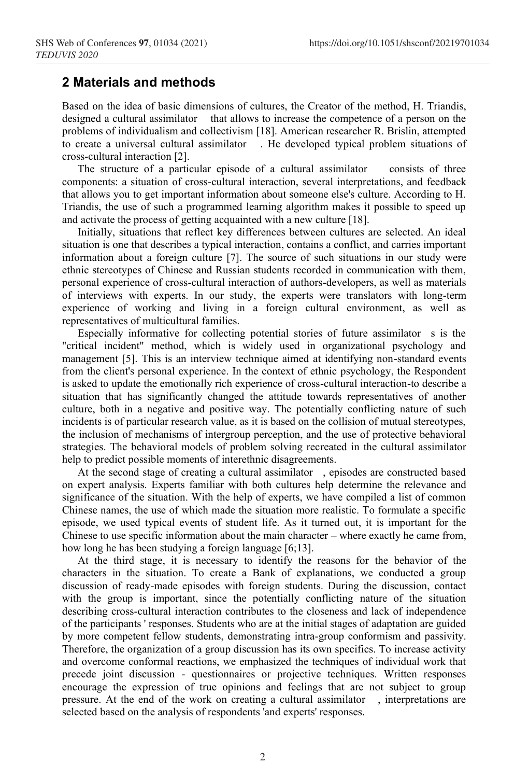#### **2 Materials and methods**

Based on the idea of basic dimensions of cultures, the Creator of the method, H. Triandis, designed a cultural assimilator that allows to increase the competence of a person on the problems of individualism and collectivism [18]. American researcher R. Brislin, attempted to create a universal cultural assimilator . He developed typical problem situations of cross-cultural interaction [2].

The structure of a particular episode of a cultural assimilator consists of three components: a situation of cross-cultural interaction, several interpretations, and feedback that allows you to get important information about someone else's culture. According to H. Triandis, the use of such a programmed learning algorithm makes it possible to speed up and activate the process of getting acquainted with a new culture [18].

Initially, situations that reflect key differences between cultures are selected. An ideal situation is one that describes a typical interaction, contains a conflict, and carries important information about a foreign culture [7]. The source of such situations in our study were ethnic stereotypes of Chinese and Russian students recorded in communication with them, personal experience of cross-cultural interaction of authors-developers, as well as materials of interviews with experts. In our study, the experts were translators with long-term experience of working and living in a foreign cultural environment, as well as representatives of multicultural families.

Especially informative for collecting potential stories of future assimilator s is the "critical incident" method, which is widely used in organizational psychology and management [5]. This is an interview technique aimed at identifying non-standard events from the client's personal experience. In the context of ethnic psychology, the Respondent is asked to update the emotionally rich experience of cross-cultural interaction-to describe a situation that has significantly changed the attitude towards representatives of another culture, both in a negative and positive way. The potentially conflicting nature of such incidents is of particular research value, as it is based on the collision of mutual stereotypes, the inclusion of mechanisms of intergroup perception, and the use of protective behavioral strategies. The behavioral models of problem solving recreated in the cultural assimilator help to predict possible moments of interethnic disagreements.

At the second stage of creating a cultural assimilator , episodes are constructed based on expert analysis. Experts familiar with both cultures help determine the relevance and significance of the situation. With the help of experts, we have compiled a list of common Chinese names, the use of which made the situation more realistic. To formulate a specific episode, we used typical events of student life. As it turned out, it is important for the Chinese to use specific information about the main character – where exactly he came from, how long he has been studying a foreign language [6;13].

At the third stage, it is necessary to identify the reasons for the behavior of the characters in the situation. To create a Bank of explanations, we conducted a group discussion of ready-made episodes with foreign students. During the discussion, contact with the group is important, since the potentially conflicting nature of the situation describing cross-cultural interaction contributes to the closeness and lack of independence of the participants ' responses. Students who are at the initial stages of adaptation are guided by more competent fellow students, demonstrating intra-group conformism and passivity. Therefore, the organization of a group discussion has its own specifics. To increase activity and overcome conformal reactions, we emphasized the techniques of individual work that precede joint discussion - questionnaires or projective techniques. Written responses encourage the expression of true opinions and feelings that are not subject to group pressure. At the end of the work on creating a cultural assimilator , interpretations are selected based on the analysis of respondents 'and experts' responses.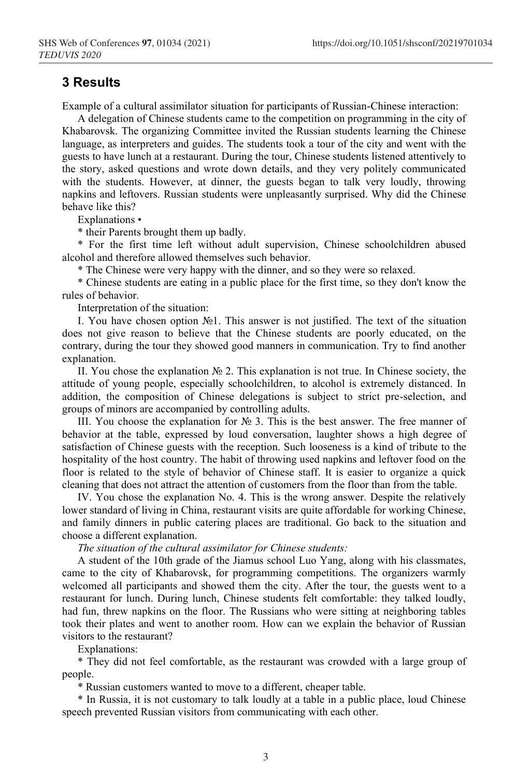#### **3 Results**

Example of a cultural assimilator situation for participants of Russian-Chinese interaction:

A delegation of Chinese students came to the competition on programming in the city of Khabarovsk. The organizing Committee invited the Russian students learning the Chinese language, as interpreters and guides. The students took a tour of the city and went with the guests to have lunch at a restaurant. During the tour, Chinese students listened attentively to the story, asked questions and wrote down details, and they very politely communicated with the students. However, at dinner, the guests began to talk very loudly, throwing napkins and leftovers. Russian students were unpleasantly surprised. Why did the Chinese behave like this?

Explanations •

\* their Parents brought them up badly.

\* For the first time left without adult supervision, Chinese schoolchildren abused alcohol and therefore allowed themselves such behavior.

\* The Chinese were very happy with the dinner, and so they were so relaxed.

\* Chinese students are eating in a public place for the first time, so they don't know the rules of behavior.

Interpretation of the situation:

I. You have chosen option №1. This answer is not justified. The text of the situation does not give reason to believe that the Chinese students are poorly educated, on the contrary, during the tour they showed good manners in communication. Try to find another explanation.

II. You chose the explanation № 2. This explanation is not true. In Chinese society, the attitude of young people, especially schoolchildren, to alcohol is extremely distanced. In addition, the composition of Chinese delegations is subject to strict pre-selection, and groups of minors are accompanied by controlling adults.

III. You choose the explanation for № 3. This is the best answer. The free manner of behavior at the table, expressed by loud conversation, laughter shows a high degree of satisfaction of Chinese guests with the reception. Such looseness is a kind of tribute to the hospitality of the host country. The habit of throwing used napkins and leftover food on the floor is related to the style of behavior of Chinese staff. It is easier to organize a quick cleaning that does not attract the attention of customers from the floor than from the table.

IV. You chose the explanation No. 4. This is the wrong answer. Despite the relatively lower standard of living in China, restaurant visits are quite affordable for working Chinese, and family dinners in public catering places are traditional. Go back to the situation and choose a different explanation.

*The situation of the cultural assimilator for Chinese students:*

A student of the 10th grade of the Jiamus school Luo Yang, along with his classmates, came to the city of Khabarovsk, for programming competitions. The organizers warmly welcomed all participants and showed them the city. After the tour, the guests went to a restaurant for lunch. During lunch, Chinese students felt comfortable: they talked loudly, had fun, threw napkins on the floor. The Russians who were sitting at neighboring tables took their plates and went to another room. How can we explain the behavior of Russian visitors to the restaurant?

Explanations:

\* They did not feel comfortable, as the restaurant was crowded with a large group of people.

\* Russian customers wanted to move to a different, cheaper table.

\* In Russia, it is not customary to talk loudly at a table in a public place, loud Chinese speech prevented Russian visitors from communicating with each other.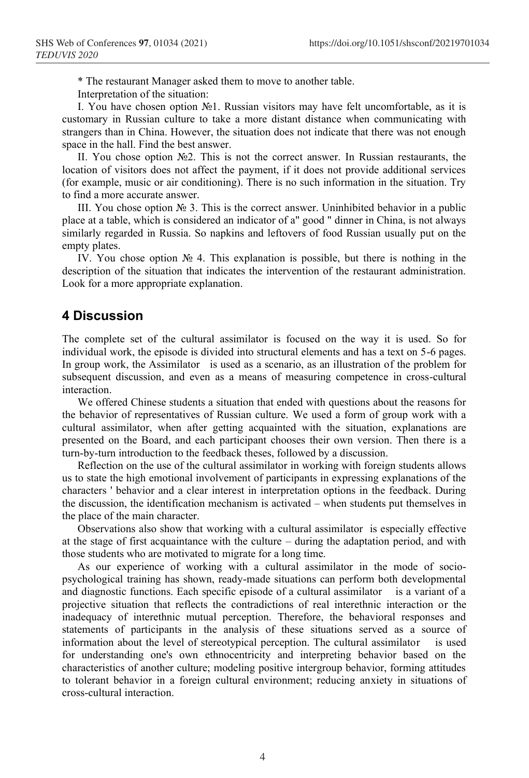\* The restaurant Manager asked them to move to another table.

Interpretation of the situation:

I. You have chosen option №1. Russian visitors may have felt uncomfortable, as it is customary in Russian culture to take a more distant distance when communicating with strangers than in China. However, the situation does not indicate that there was not enough space in the hall. Find the best answer.

II. You chose option №2. This is not the correct answer. In Russian restaurants, the location of visitors does not affect the payment, if it does not provide additional services (for example, music or air conditioning). There is no such information in the situation. Try to find a more accurate answer.

III. You chose option  $\mathbb{N}_2$  3. This is the correct answer. Uninhibited behavior in a public place at a table, which is considered an indicator of a" good " dinner in China, is not always similarly regarded in Russia. So napkins and leftovers of food Russian usually put on the empty plates.

IV. You chose option № 4. This explanation is possible, but there is nothing in the description of the situation that indicates the intervention of the restaurant administration. Look for a more appropriate explanation.

#### **4 Discussion**

The complete set of the cultural assimilator is focused on the way it is used. So for individual work, the episode is divided into structural elements and has a text on 5-6 pages. In group work, the Assimilator is used as a scenario, as an illustration of the problem for subsequent discussion, and even as a means of measuring competence in cross-cultural interaction.

We offered Chinese students a situation that ended with questions about the reasons for the behavior of representatives of Russian culture. We used a form of group work with a cultural assimilator, when after getting acquainted with the situation, explanations are presented on the Board, and each participant chooses their own version. Then there is a turn-by-turn introduction to the feedback theses, followed by a discussion.

Reflection on the use of the cultural assimilator in working with foreign students allows us to state the high emotional involvement of participants in expressing explanations of the characters ' behavior and a clear interest in interpretation options in the feedback. During the discussion, the identification mechanism is activated – when students put themselves in the place of the main character.

Observations also show that working with a cultural assimilator is especially effective at the stage of first acquaintance with the culture – during the adaptation period, and with those students who are motivated to migrate for a long time.

As our experience of working with a cultural assimilator in the mode of sociopsychological training has shown, ready-made situations can perform both developmental and diagnostic functions. Each specific episode of a cultural assimilator is a variant of a projective situation that reflects the contradictions of real interethnic interaction or the inadequacy of interethnic mutual perception. Therefore, the behavioral responses and statements of participants in the analysis of these situations served as a source of information about the level of stereotypical perception. The cultural assimilator is used for understanding one's own ethnocentricity and interpreting behavior based on the characteristics of another culture; modeling positive intergroup behavior, forming attitudes to tolerant behavior in a foreign cultural environment; reducing anxiety in situations of cross-cultural interaction.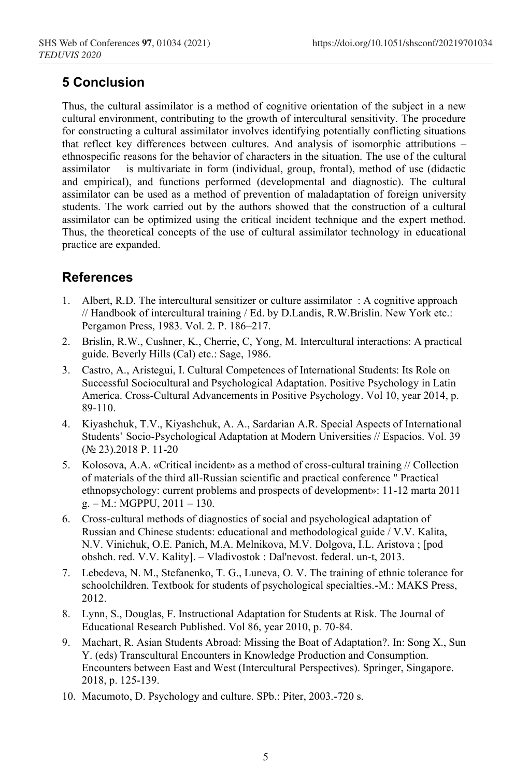# **5 Conclusion**

Thus, the cultural assimilator is a method of cognitive orientation of the subject in a new cultural environment, contributing to the growth of intercultural sensitivity. The procedure for constructing a cultural assimilator involves identifying potentially conflicting situations that reflect key differences between cultures. And analysis of isomorphic attributions – ethnospecific reasons for the behavior of characters in the situation. The use of the cultural assimilator is multivariate in form (individual, group, frontal), method of use (didactic and empirical), and functions performed (developmental and diagnostic). The cultural assimilator can be used as a method of prevention of maladaptation of foreign university students. The work carried out by the authors showed that the construction of a cultural assimilator can be optimized using the critical incident technique and the expert method. Thus, the theoretical concepts of the use of cultural assimilator technology in educational practice are expanded.

## **References**

- 1. Albert, R.D. The intercultural sensitizer or culture assimilator : A cognitive approach // Handbook of intercultural training / Ed. by D.Landis, R.W.Brislin. New York etc.: Pergamon Press, 1983. Vol. 2. P. 186–217.
- 2. Brislin, R.W., Cushner, K., Cherrie, C, Yong, M. Intercultural interactions: A practical guide. Beverly Hills (Cal) etc.: Sage, 1986.
- 3. Castro, A., Aristegui, I. Cultural Competences of International Students: Its Role on Successful Sociocultural and Psychological Adaptation. Positive Psychology in Latin America. Cross-Cultural Advancements in Positive Psychology. Vol 10, year 2014, p. 89-110.
- 4. Kiyashchuk, T.V., Kiyashchuk, A. A., Sardarian A.R. Special Aspects of International Students' Socio-Psychological Adaptation at Modern Universities // Espacios. Vol. 39 (№ 23).2018 P. 11-20
- 5. Kolosova, A.A. «Critical incident» as a method of cross-cultural training // Collection of materials of the third all-Russian scientific and practical conference " Practical ethnopsychology: current problems and prospects of development»: 11-12 marta 2011  $g. - M.: MGPPU, 2011 - 130.$
- 6. Cross-cultural methods of diagnostics of social and psychological adaptation of Russian and Chinese students: educational and methodological guide / V.V. Kalita, N.V. Vinichuk, O.E. Panich, M.A. Melnikova, M.V. Dolgova, I.L. Aristova ; [pod obshch. red. V.V. Kality]. – Vladivostok : Dal'nevost. federal. un-t, 2013.
- 7. Lebedeva, N. M., Stefanenko, T. G., Luneva, O. V. The training of ethnic tolerance for schoolchildren. Textbook for students of psychological specialties.-M.: MAKS Press, 2012.
- 8. Lynn, S., Douglas, F. Instructional Adaptation for Students at Risk. The Journal of Educational Research Published. Vol 86, year 2010, p. 70-84.
- 9. Machart, R. Asian Students Abroad: Missing the Boat of Adaptation?. In: Song X., Sun Y. (eds) Transcultural Encounters in Knowledge Production and Consumption. Encounters between East and West (Intercultural Perspectives). Springer, Singapore. 2018, p. 125-139.
- 10. Macumoto, D. Psychology and culture. SPb.: Piter, 2003.-720 s.